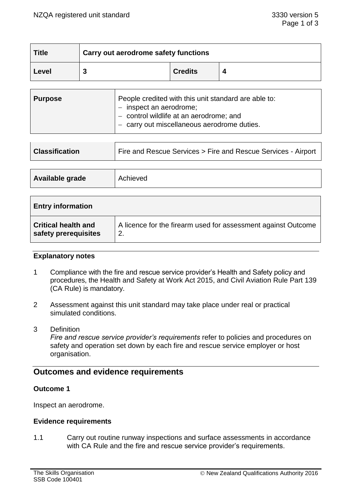| <b>Title</b> | Carry out aerodrome safety functions |                |  |
|--------------|--------------------------------------|----------------|--|
| Level        |                                      | <b>Credits</b> |  |

| <b>Purpose</b> | People credited with this unit standard are able to:<br>$-$ inspect an aerodrome;<br>- control wildlife at an aerodrome; and<br>- carry out miscellaneous aerodrome duties. |
|----------------|-----------------------------------------------------------------------------------------------------------------------------------------------------------------------------|
|                |                                                                                                                                                                             |

| <b>Classification</b> | Fire and Rescue Services > Fire and Rescue Services - Airport |  |
|-----------------------|---------------------------------------------------------------|--|
|                       |                                                               |  |
| Available grade       | Achieved                                                      |  |

| <b>Entry information</b>   |                                                               |
|----------------------------|---------------------------------------------------------------|
| <b>Critical health and</b> | A licence for the firearm used for assessment against Outcome |
| safety prerequisites       | 2.                                                            |

### **Explanatory notes**

- 1 Compliance with the fire and rescue service provider's Health and Safety policy and procedures, the Health and Safety at Work Act 2015, and Civil Aviation Rule Part 139 (CA Rule) is mandatory.
- 2 Assessment against this unit standard may take place under real or practical simulated conditions.
- 3 Definition

*Fire and rescue service provider's requirements* refer to policies and procedures on safety and operation set down by each fire and rescue service employer or host organisation.

# **Outcomes and evidence requirements**

### **Outcome 1**

Inspect an aerodrome.

### **Evidence requirements**

1.1 Carry out routine runway inspections and surface assessments in accordance with CA Rule and the fire and rescue service provider's requirements.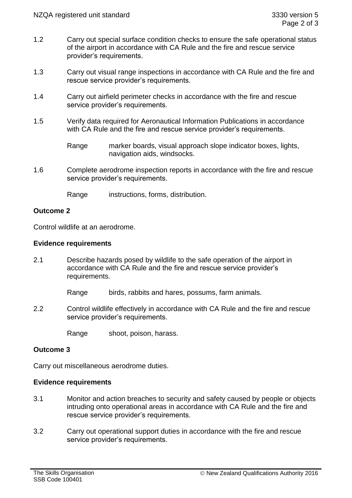- 1.2 Carry out special surface condition checks to ensure the safe operational status of the airport in accordance with CA Rule and the fire and rescue service provider's requirements.
- 1.3 Carry out visual range inspections in accordance with CA Rule and the fire and rescue service provider's requirements.
- 1.4 Carry out airfield perimeter checks in accordance with the fire and rescue service provider's requirements.
- 1.5 Verify data required for Aeronautical Information Publications in accordance with CA Rule and the fire and rescue service provider's requirements.

1.6 Complete aerodrome inspection reports in accordance with the fire and rescue service provider's requirements.

Range instructions, forms, distribution.

## **Outcome 2**

Control wildlife at an aerodrome.

### **Evidence requirements**

2.1 Describe hazards posed by wildlife to the safe operation of the airport in accordance with CA Rule and the fire and rescue service provider's requirements.

Range birds, rabbits and hares, possums, farm animals.

2.2 Control wildlife effectively in accordance with CA Rule and the fire and rescue service provider's requirements.

Range shoot, poison, harass.

## **Outcome 3**

Carry out miscellaneous aerodrome duties.

### **Evidence requirements**

- 3.1 Monitor and action breaches to security and safety caused by people or objects intruding onto operational areas in accordance with CA Rule and the fire and rescue service provider's requirements.
- 3.2 Carry out operational support duties in accordance with the fire and rescue service provider's requirements.

Range marker boards, visual approach slope indicator boxes, lights, navigation aids, windsocks.